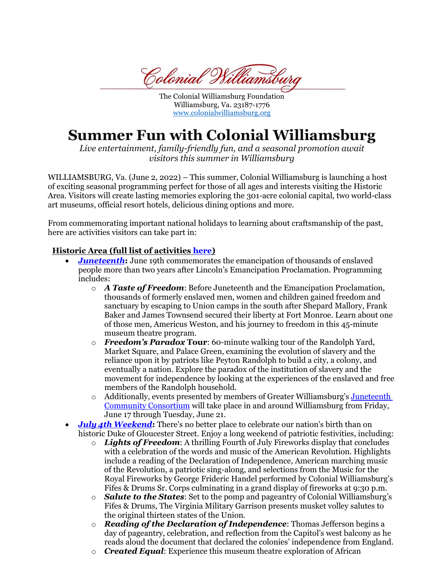Colonial Williamsbur

The Colonial Williamsburg Foundation Williamsburg, Va. 23187-1776 [www.colonialwilliamsburg.org](http://www.colonialwilliamsburg.org/)

## **Summer Fun with Colonial Williamsburg**

*Live entertainment, family-friendly fun, and a seasonal promotion await visitors this summer in Williamsburg* 

WILLIAMSBURG, Va. (June 2, 2022) – This summer, Colonial Williamsburg is launching a host of exciting seasonal programming perfect for those of all ages and interests visiting the Historic Area. Visitors will create lasting memories exploring the 301-acre colonial capital, two world-class art museums, official resort hotels, delicious dining options and more.

From commemorating important national holidays to learning about craftsmanship of the past, here are activities visitors can take part in:

## **Historic Area (full list of activities [here\)](https://www.colonialwilliamsburg.org/explore/seasons/Summer/)**

- *[Juneteenth](https://www.colonialwilliamsburg.org/explore/special-event/celebrate-juneteenth/):* June 19th commemorates the emancipation of thousands of enslaved people more than two years after Lincoln's Emancipation Proclamation. Programming includes:
	- o *A Taste of Freedom*: Before Juneteenth and the Emancipation Proclamation, thousands of formerly enslaved men, women and children gained freedom and sanctuary by escaping to Union camps in the south after Shepard Mallory, Frank Baker and James Townsend secured their liberty at Fort Monroe. Learn about one of those men, Americus Weston, and his journey to freedom in this 45-minute museum theatre program.
	- o *Freedom's Paradox* **Tour**: 60-minute walking tour of the Randolph Yard, Market Square, and Palace Green, examining the evolution of slavery and the reliance upon it by patriots like Peyton Randolph to build a city, a colony, and eventually a nation. Explore the paradox of the institution of slavery and the movement for independence by looking at the experiences of the enslaved and free members of the Randolph household.
	- $\circ$  Additionally, events presented by members of Greater Williamsburg's Juneteenth [Community Consortium](https://www.juneteenthcc.org/) will take place in and around Williamsburg from Friday, June 17 through Tuesday, June 21.
- *July 4th [Weekend](https://www.colonialwilliamsburg.org/explore/special-event/july-4/)***:** There's no better place to celebrate our nation's birth than on historic Duke of Gloucester Street. Enjoy a long weekend of patriotic festivities, including:
	- o *Lights of Freedom*: A thrilling Fourth of July Fireworks display that concludes with a celebration of the words and music of the American Revolution. Highlights include a reading of the Declaration of Independence, American marching music of the Revolution, a patriotic sing-along, and selections from the Music for the Royal Fireworks by George Frideric Handel performed by Colonial Williamsburg's Fifes & Drums Sr. Corps culminating in a grand display of fireworks at 9:30 p.m.
	- o *Salute to the States*: Set to the pomp and pageantry of Colonial Williamsburg's Fifes & Drums, The Virginia Military Garrison presents musket volley salutes to the original thirteen states of the Union.
	- o *Reading of the Declaration of Independence*: Thomas Jefferson begins a day of pageantry, celebration, and reflection from the Capitol's west balcony as he reads aloud the document that declared the colonies' independence from England.
	- o *Created Equal*: Experience this museum theatre exploration of African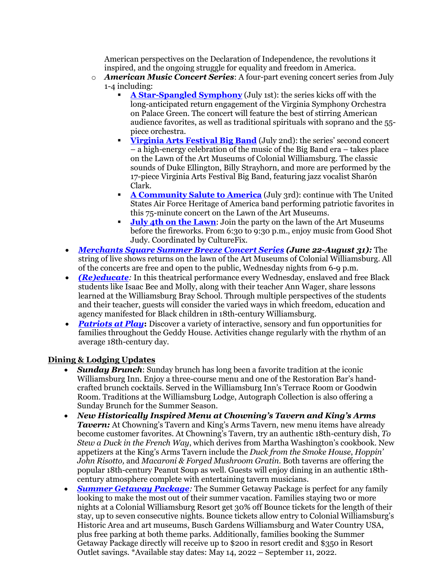American perspectives on the Declaration of Independence, the revolutions it inspired, and the ongoing struggle for equality and freedom in America.

- o *American Music Concert Series*: A four-part evening concert series from July 1-4 including:
	- **[A Star-Spangled Symphony](https://www.colonialwilliamsburg.org/events/a-star-spangled-symphony/?date=2022-07-01)** (July 1st): the series kicks off with the long-anticipated return engagement of the Virginia Symphony Orchestra on Palace Green. The concert will feature the best of stirring American audience favorites, as well as traditional spirituals with soprano and the 55 piece orchestra.
	- **[Virginia Arts Festival Big Band](https://www.colonialwilliamsburg.org/events/virginia-arts-festival-big-band/?date=2022-07-02)** (July 2nd): the series' second concert – a high-energy celebration of the music of the Big Band era – takes place on the Lawn of the Art Museums of Colonial Williamsburg. The classic sounds of Duke Ellington, Billy Strayhorn, and more are performed by the 17-piece Virginia Arts Festival Big Band, featuring jazz vocalist Sharón Clark.
	- **[A Community Salute to America](https://www.colonialwilliamsburg.org/events/a-community-salute-to-america/?date=2022-07-03)** (July 3rd): continue with The United States Air Force Heritage of America band performing patriotic favorites in this 75-minute concert on the Lawn of the Art Museums.
	- **[July 4th on the Lawn](https://www.colonialwilliamsburg.org/events/july-4th-on-the-lawn/?date=2022-07-04)**: Join the party on the lawn of the Art Museums before the fireworks. From 6:30 to 9:30 p.m., enjoy music from Good Shot Judy. Coordinated by CultureFix.
- *Merchants Square [Summer Breeze Concert Series](https://www.colonialwilliamsburghotels.com/events/summer-breeze-concert-series/) (June 22-August 31):* The string of live shows returns on the lawn of the Art Museums of Colonial Williamsburg. All of the concerts are free and open to the public, Wednesday nights from 6-9 p.m.
- *[\(Re\)educate](https://www.colonialwilliamsburg.org/events/reeducate/):* In this theatrical performance every Wednesday, enslaved and free Black students like Isaac Bee and Molly, along with their teacher Ann Wager, share lessons learned at the Williamsburg Bray School. Through multiple perspectives of the students and their teacher, guests will consider the varied ways in which freedom, education and agency manifested for Black children in 18th-century Williamsburg.
- *[Patriots at Play](https://www.colonialwilliamsburg.org/events/patriots-at-play/)*: Discover a variety of interactive, sensory and fun opportunities for families throughout the Geddy House. Activities change regularly with the rhythm of an average 18th-century day.

## **Dining & Lodging Updates**

- *Sunday Brunch*: Sunday brunch has long been a favorite tradition at the iconic Williamsburg Inn. Enjoy a three-course menu and one of the Restoration Bar's handcrafted brunch cocktails. Served in the Williamsburg Inn's Terrace Room or Goodwin Room. Traditions at the Williamsburg Lodge, Autograph Collection is also offering a Sunday Brunch for the Summer Season.
- *New Historically Inspired Menu at Chowning's Tavern and King's Arms Tavern:* At Chowning's Tavern and King's Arms Tavern, new menu items have already become customer favorites. At Chowning's Tavern, try an authentic 18th-century dish, *To Stew a Duck in the French Way*, which derives from Martha Washington's cookbook. New appetizers at the King's Arms Tavern include the *Duck from the Smoke House*, *Hoppin' John Risotto,* and *Macaroni & Forged Mushroom Gratin*. Both taverns are offering the popular 18th-century Peanut Soup as well. Guests will enjoy dining in an authentic 18thcentury atmosphere complete with entertaining tavern musicians.
- **[Summer Getaway Package](https://www.colonialwilliamsburghotels.com/packages/summer-getaway-package/)**: The Summer Getaway Package is perfect for any family looking to make the most out of their summer vacation. Families staying two or more nights at a Colonial Williamsburg Resort get 30% off Bounce tickets for the length of their stay, up to seven consecutive nights. Bounce tickets allow entry to Colonial Williamsburg's Historic Area and art museums, Busch Gardens Williamsburg and Water Country USA, plus free parking at both theme parks. Additionally, families booking the Summer Getaway Package directly will receive up to \$200 in resort credit and \$350 in Resort Outlet savings. \*Available stay dates: May 14, 2022 – September 11, 2022.